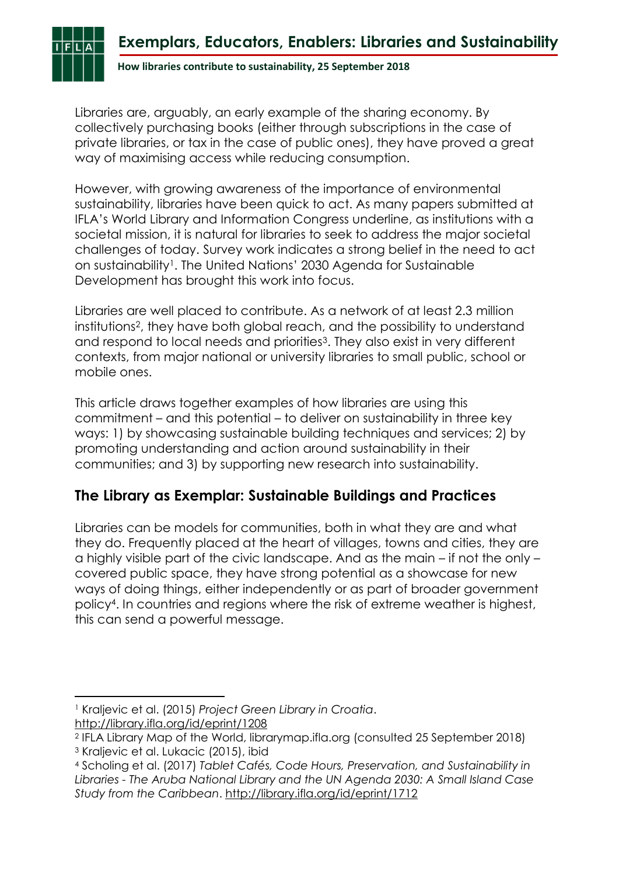# **Exemplars, Educators, Enablers: Libraries and Sustainability**

**How libraries contribute to sustainability, 25 September 2018**

Libraries are, arguably, an early example of the sharing economy. By collectively purchasing books (either through subscriptions in the case of private libraries, or tax in the case of public ones), they have proved a great way of maximising access while reducing consumption.

However, with growing awareness of the importance of environmental sustainability, libraries have been quick to act. As many papers submitted at IFLA's World Library and Information Congress underline, as institutions with a societal mission, it is natural for libraries to seek to address the major societal challenges of today. Survey work indicates a strong belief in the need to act on sustainability1. The United Nations' 2030 Agenda for Sustainable Development has brought this work into focus.

Libraries are well placed to contribute. As a network of at least 2.3 million institutions2, they have both global reach, and the possibility to understand and respond to local needs and priorities<sup>3</sup>. They also exist in very different contexts, from major national or university libraries to small public, school or mobile ones.

This article draws together examples of how libraries are using this commitment – and this potential – to deliver on sustainability in three key ways: 1) by showcasing sustainable building techniques and services; 2) by promoting understanding and action around sustainability in their communities; and 3) by supporting new research into sustainability.

#### **The Library as Exemplar: Sustainable Buildings and Practices**

Libraries can be models for communities, both in what they are and what they do. Frequently placed at the heart of villages, towns and cities, they are a highly visible part of the civic landscape. And as the main – if not the only – covered public space, they have strong potential as a showcase for new ways of doing things, either independently or as part of broader government policy4. In countries and regions where the risk of extreme weather is highest, this can send a powerful message.

<http://library.ifla.org/id/eprint/1208>

**.** 

<sup>1</sup> Kraljevic et al. (2015) *Project Green Library in Croatia*.

<sup>2</sup> IFLA Library Map of the World, librarymap.ifla.org (consulted 25 September 2018)

<sup>3</sup> Kraljevic et al. Lukacic (2015), ibid

<sup>4</sup> Scholing et al. (2017) *Tablet Cafés, Code Hours, Preservation, and Sustainability in Libraries - The Aruba National Library and the UN Agenda 2030: A Small Island Case Study from the Caribbean*. <http://library.ifla.org/id/eprint/1712>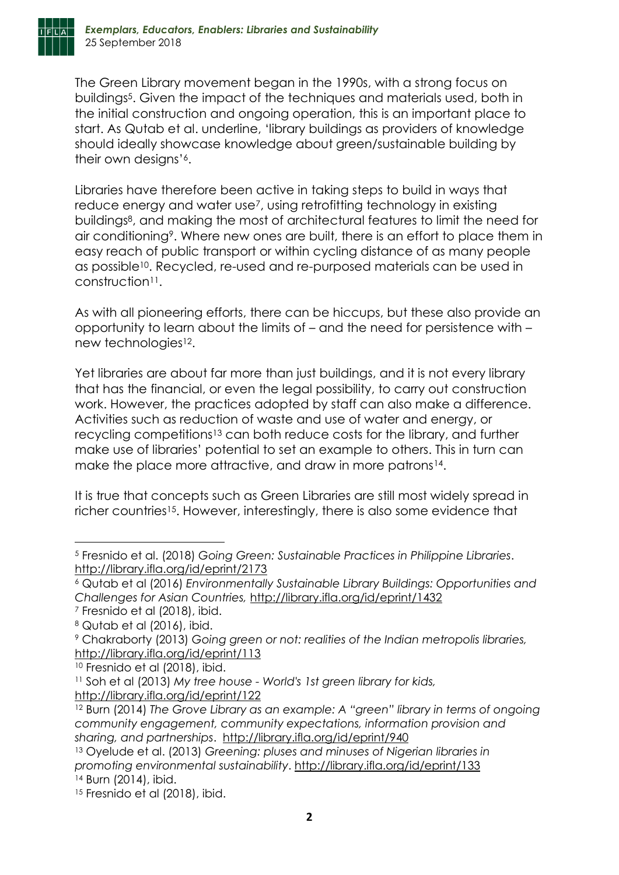

The Green Library movement began in the 1990s, with a strong focus on buildings5. Given the impact of the techniques and materials used, both in the initial construction and ongoing operation, this is an important place to start. As Qutab et al. underline, 'library buildings as providers of knowledge should ideally showcase knowledge about green/sustainable building by their own designs'6.

Libraries have therefore been active in taking steps to build in ways that reduce energy and water use<sup>7</sup>, using retrofitting technology in existing buildings8, and making the most of architectural features to limit the need for air conditioning9. Where new ones are built, there is an effort to place them in easy reach of public transport or within cycling distance of as many people as possible<sup>10</sup>. Recycled, re-used and re-purposed materials can be used in construction<sup>11</sup>.

As with all pioneering efforts, there can be hiccups, but these also provide an opportunity to learn about the limits of – and the need for persistence with – new technologies<sup>12</sup>.

Yet libraries are about far more than just buildings, and it is not every library that has the financial, or even the legal possibility, to carry out construction work. However, the practices adopted by staff can also make a difference. Activities such as reduction of waste and use of water and energy, or recycling competitions<sup>13</sup> can both reduce costs for the library, and further make use of libraries' potential to set an example to others. This in turn can make the place more attractive, and draw in more patrons<sup>14</sup>.

It is true that concepts such as Green Libraries are still most widely spread in richer countries<sup>15</sup>. However, interestingly, there is also some evidence that

**.** 

<sup>10</sup> Fresnido et al (2018), ibid.

<sup>5</sup> Fresnido et al. (2018) *Going Green: Sustainable Practices in Philippine Libraries*. <http://library.ifla.org/id/eprint/2173>

<sup>6</sup> Qutab et al (2016) *Environmentally Sustainable Library Buildings: Opportunities and Challenges for Asian Countries,* <http://library.ifla.org/id/eprint/1432>

<sup>7</sup> Fresnido et al (2018), ibid.

<sup>8</sup> Qutab et al (2016), ibid.

<sup>9</sup> Chakraborty (2013) *Going green or not: realities of the Indian metropolis libraries,* <http://library.ifla.org/id/eprint/113>

<sup>11</sup> Soh et al (2013) *My tree house - World's 1st green library for kids,* <http://library.ifla.org/id/eprint/122>

<sup>12</sup> Burn (2014) *The Grove Library as an example: A "green" library in terms of ongoing community engagement, community expectations, information provision and sharing, and partnerships*. <http://library.ifla.org/id/eprint/940>

<sup>13</sup> Oyelude et al. (2013) *Greening: pluses and minuses of Nigerian libraries in promoting environmental sustainability*.<http://library.ifla.org/id/eprint/133> <sup>14</sup> Burn (2014), ibid.

<sup>&</sup>lt;sup>15</sup> Fresnido et al (2018), ibid.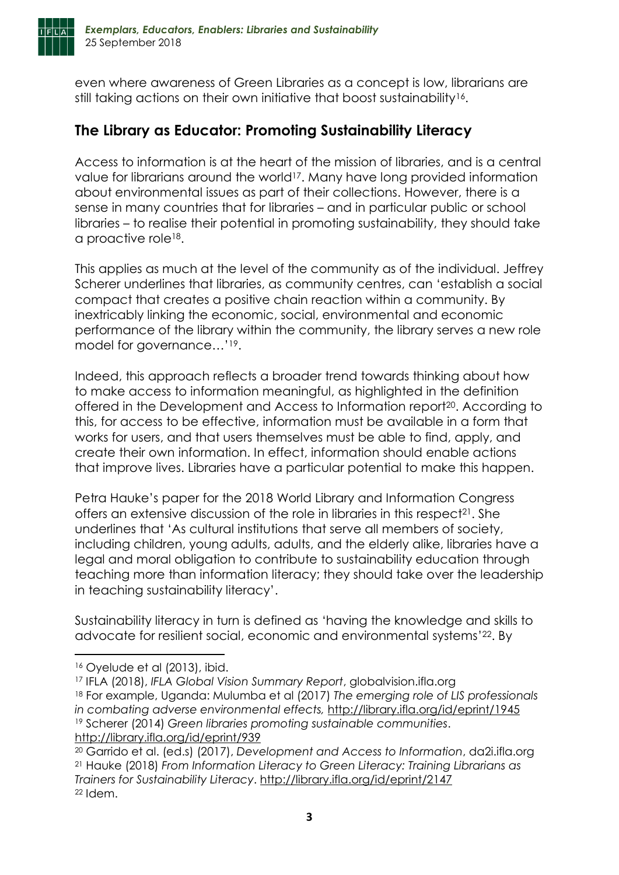

even where awareness of Green Libraries as a concept is low, librarians are still taking actions on their own initiative that boost sustainability<sup>16</sup>.

## **The Library as Educator: Promoting Sustainability Literacy**

Access to information is at the heart of the mission of libraries, and is a central value for librarians around the world<sup>17</sup>. Many have long provided information about environmental issues as part of their collections. However, there is a sense in many countries that for libraries – and in particular public or school libraries – to realise their potential in promoting sustainability, they should take a proactive role<sup>18</sup>.

This applies as much at the level of the community as of the individual. Jeffrey Scherer underlines that libraries, as community centres, can 'establish a social compact that creates a positive chain reaction within a community. By inextricably linking the economic, social, environmental and economic performance of the library within the community, the library serves a new role model for governance…'19.

Indeed, this approach reflects a broader trend towards thinking about how to make access to information meaningful, as highlighted in the definition offered in the Development and Access to Information report20. According to this, for access to be effective, information must be available in a form that works for users, and that users themselves must be able to find, apply, and create their own information. In effect, information should enable actions that improve lives. Libraries have a particular potential to make this happen.

Petra Hauke's paper for the 2018 World Library and Information Congress offers an extensive discussion of the role in libraries in this respect<sup>21</sup>. She underlines that 'As cultural institutions that serve all members of society, including children, young adults, adults, and the elderly alike, libraries have a legal and moral obligation to contribute to sustainability education through teaching more than information literacy; they should take over the leadership in teaching sustainability literacy'.

Sustainability literacy in turn is defined as 'having the knowledge and skills to advocate for resilient social, economic and environmental systems' <sup>22</sup>. By

**.** 

<sup>16</sup> Oyelude et al (2013), ibid.

<sup>17</sup> IFLA (2018), *IFLA Global Vision Summary Report*, globalvision.ifla.org

<sup>18</sup> For example, Uganda: Mulumba et al (2017) *The emerging role of LIS professionals in combating adverse environmental effects,* <http://library.ifla.org/id/eprint/1945>

<sup>19</sup> Scherer (2014) *Green libraries promoting sustainable communities*. <http://library.ifla.org/id/eprint/939>

<sup>20</sup> Garrido et al. (ed.s) (2017), *Development and Access to Information*, da2i.ifla.org <sup>21</sup> Hauke (2018) *From Information Literacy to Green Literacy: Training Librarians as Trainers for Sustainability Literacy*.<http://library.ifla.org/id/eprint/2147>  $22$  Idem.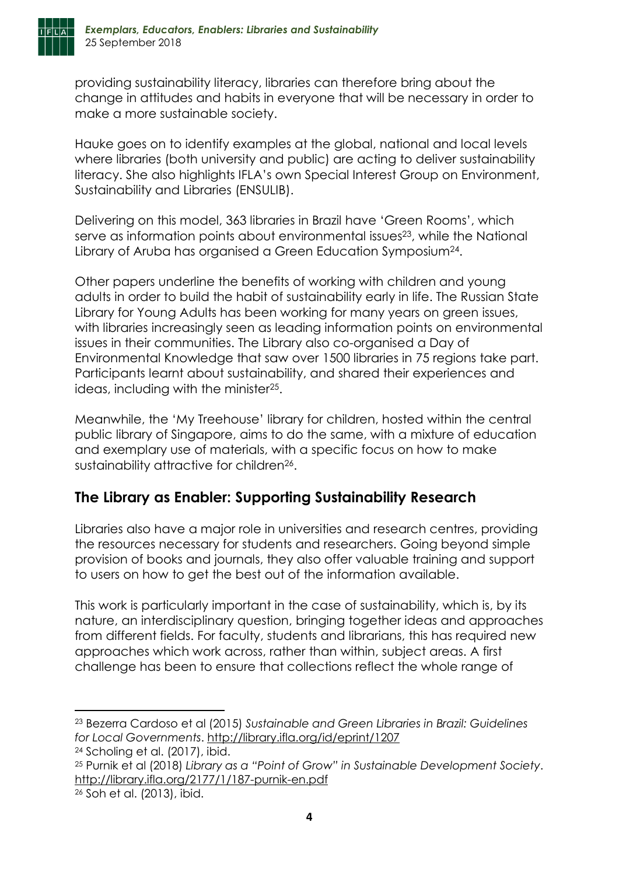

providing sustainability literacy, libraries can therefore bring about the change in attitudes and habits in everyone that will be necessary in order to make a more sustainable society.

Hauke goes on to identify examples at the global, national and local levels where libraries (both university and public) are acting to deliver sustainability literacy. She also highlights IFLA's own Special Interest Group on Environment, Sustainability and Libraries (ENSULIB).

Delivering on this model, 363 libraries in Brazil have 'Green Rooms', which serve as information points about environmental issues<sup>23</sup>, while the National Library of Aruba has organised a Green Education Symposium24.

Other papers underline the benefits of working with children and young adults in order to build the habit of sustainability early in life. The Russian State Library for Young Adults has been working for many years on green issues, with libraries increasingly seen as leading information points on environmental issues in their communities. The Library also co-organised a Day of Environmental Knowledge that saw over 1500 libraries in 75 regions take part. Participants learnt about sustainability, and shared their experiences and ideas, including with the minister25.

Meanwhile, the 'My Treehouse' library for children, hosted within the central public library of Singapore, aims to do the same, with a mixture of education and exemplary use of materials, with a specific focus on how to make sustainability attractive for children<sup>26</sup>.

# **The Library as Enabler: Supporting Sustainability Research**

Libraries also have a major role in universities and research centres, providing the resources necessary for students and researchers. Going beyond simple provision of books and journals, they also offer valuable training and support to users on how to get the best out of the information available.

This work is particularly important in the case of sustainability, which is, by its nature, an interdisciplinary question, bringing together ideas and approaches from different fields. For faculty, students and librarians, this has required new approaches which work across, rather than within, subject areas. A first challenge has been to ensure that collections reflect the whole range of

**.** 

<sup>23</sup> Bezerra Cardoso et al (2015) *Sustainable and Green Libraries in Brazil: Guidelines for Local Governments*.<http://library.ifla.org/id/eprint/1207>

<sup>24</sup> Scholing et al. (2017), ibid.

<sup>25</sup> Purnik et al (2018) *Library as a "Point of Grow" in Sustainable Development Society*. <http://library.ifla.org/2177/1/187-purnik-en.pdf>

<sup>26</sup> Soh et al. (2013), ibid.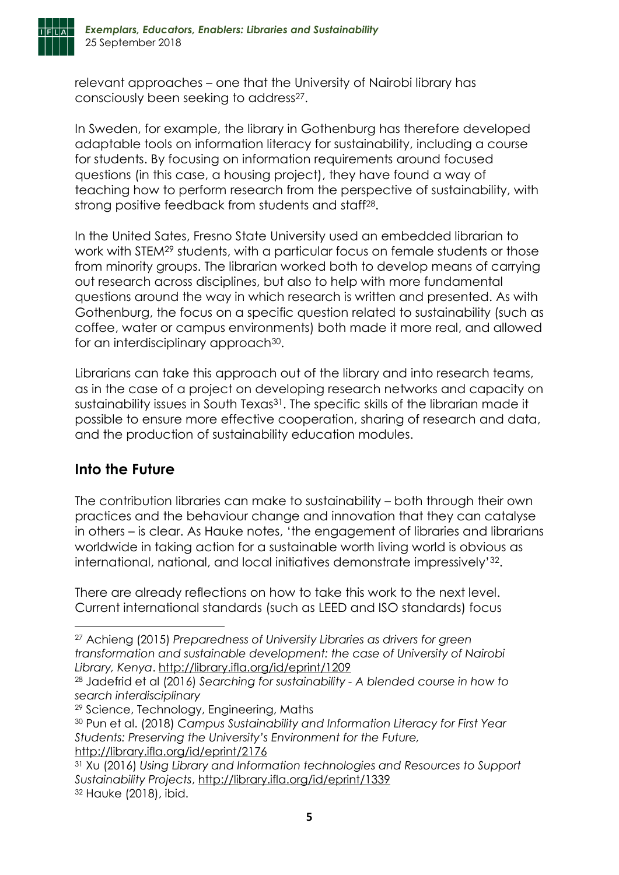

relevant approaches – one that the University of Nairobi library has consciously been seeking to address<sup>27</sup>.

In Sweden, for example, the library in Gothenburg has therefore developed adaptable tools on information literacy for sustainability, including a course for students. By focusing on information requirements around focused questions (in this case, a housing project), they have found a way of teaching how to perform research from the perspective of sustainability, with strong positive feedback from students and staff<sup>28</sup>.

In the United Sates, Fresno State University used an embedded librarian to work with STEM<sup>29</sup> students, with a particular focus on female students or those from minority groups. The librarian worked both to develop means of carrying out research across disciplines, but also to help with more fundamental questions around the way in which research is written and presented. As with Gothenburg, the focus on a specific question related to sustainability (such as coffee, water or campus environments) both made it more real, and allowed for an interdisciplinary approach<sup>30</sup>.

Librarians can take this approach out of the library and into research teams, as in the case of a project on developing research networks and capacity on sustainability issues in South Texas<sup>31</sup>. The specific skills of the librarian made it possible to ensure more effective cooperation, sharing of research and data, and the production of sustainability education modules.

### **Into the Future**

**.** 

The contribution libraries can make to sustainability – both through their own practices and the behaviour change and innovation that they can catalyse in others – is clear. As Hauke notes, 'the engagement of libraries and librarians worldwide in taking action for a sustainable worth living world is obvious as international, national, and local initiatives demonstrate impressively'32.

There are already reflections on how to take this work to the next level. Current international standards (such as LEED and ISO standards) focus

<sup>29</sup> Science, Technology, Engineering, Maths

<http://library.ifla.org/id/eprint/2176>

<sup>27</sup> Achieng (2015) *Preparedness of University Libraries as drivers for green transformation and sustainable development: the case of University of Nairobi Library, Kenya*. <http://library.ifla.org/id/eprint/1209>

<sup>28</sup> Jadefrid et al (2016) *Searching for sustainability - A blended course in how to search interdisciplinary*

<sup>30</sup> Pun et al. (2018) *Campus Sustainability and Information Literacy for First Year Students: Preserving the University's Environment for the Future,*

<sup>31</sup> Xu (2016) *Using Library and Information technologies and Resources to Support Sustainability Projects*, <http://library.ifla.org/id/eprint/1339> <sup>32</sup> Hauke (2018), ibid.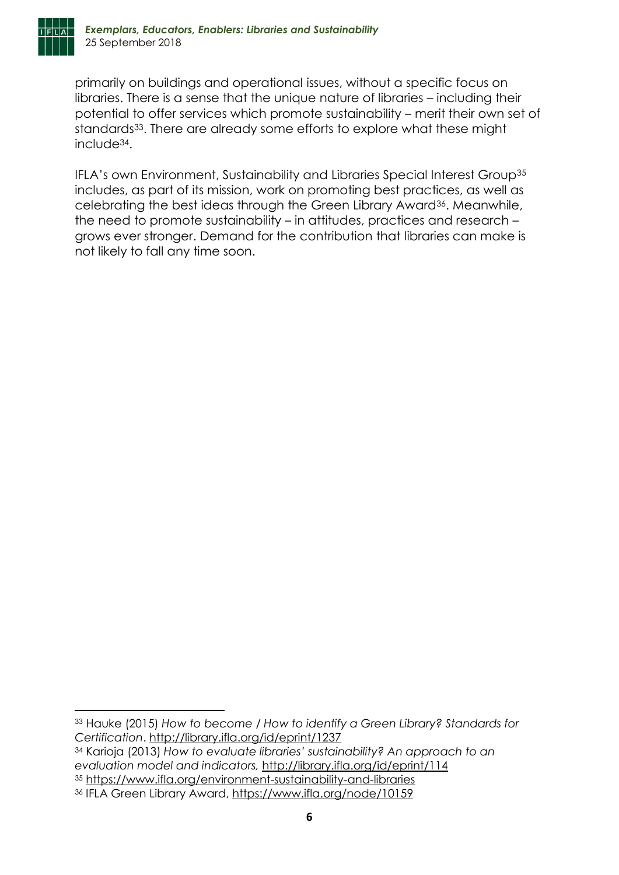

**.** 

primarily on buildings and operational issues, without a specific focus on libraries. There is a sense that the unique nature of libraries – including their potential to offer services which promote sustainability – merit their own set of standards<sup>33</sup>. There are already some efforts to explore what these might include34.

IFLA's own Environment, Sustainability and Libraries Special Interest Group<sup>35</sup> includes, as part of its mission, work on promoting best practices, as well as celebrating the best ideas through the Green Library Award36. Meanwhile, the need to promote sustainability – in attitudes, practices and research – grows ever stronger. Demand for the contribution that libraries can make is not likely to fall any time soon.

<sup>33</sup> Hauke (2015) *How to become / How to identify a Green Library? Standards for Certification*. <http://library.ifla.org/id/eprint/1237>

<sup>34</sup> Karioja (2013) *How to evaluate libraries' sustainability? An approach to an evaluation model and indicators,* <http://library.ifla.org/id/eprint/114>

<sup>35</sup> <https://www.ifla.org/environment-sustainability-and-libraries>

<sup>36</sup> IFLA Green Library Award,<https://www.ifla.org/node/10159>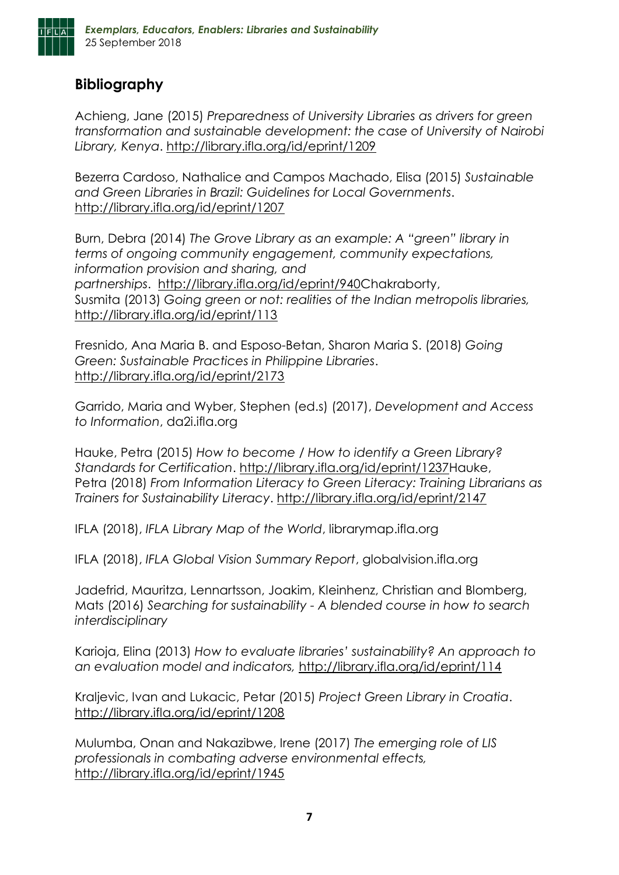

### **Bibliography**

Achieng, Jane (2015) *Preparedness of University Libraries as drivers for green transformation and sustainable development: the case of University of Nairobi Library, Kenya*. <http://library.ifla.org/id/eprint/1209>

Bezerra Cardoso, Nathalice and Campos Machado, Elisa (2015) *Sustainable and Green Libraries in Brazil: Guidelines for Local Governments*. <http://library.ifla.org/id/eprint/1207>

Burn, Debra (2014) *The Grove Library as an example: A "green" library in terms of ongoing community engagement, community expectations, information provision and sharing, and partnerships*. [http://library.ifla.org/id/eprint/940C](http://library.ifla.org/id/eprint/940)hakraborty, Susmita (2013) *Going green or not: realities of the Indian metropolis libraries,* <http://library.ifla.org/id/eprint/113>

Fresnido, Ana Maria B. and Esposo-Betan, Sharon Maria S. (2018) *Going Green: Sustainable Practices in Philippine Libraries*. <http://library.ifla.org/id/eprint/2173>

Garrido, Maria and Wyber, Stephen (ed.s) (2017), *Development and Access to Information*, da2i.ifla.org

Hauke, Petra (2015) *How to become / How to identify a Green Library? Standards for Certification*. [http://library.ifla.org/id/eprint/1237H](http://library.ifla.org/id/eprint/1237)auke, Petra (2018) *From Information Literacy to Green Literacy: Training Librarians as Trainers for Sustainability Literacy*.<http://library.ifla.org/id/eprint/2147>

IFLA (2018), *IFLA Library Map of the World*, librarymap.ifla.org

IFLA (2018), *IFLA Global Vision Summary Report*, globalvision.ifla.org

Jadefrid, Mauritza, Lennartsson, Joakim, Kleinhenz, Christian and Blomberg, Mats (2016) *Searching for sustainability - A blended course in how to search interdisciplinary*

Karioja, Elina (2013) *How to evaluate libraries' sustainability? An approach to an evaluation model and indicators,* <http://library.ifla.org/id/eprint/114>

Kraljevic, Ivan and Lukacic, Petar (2015) *Project Green Library in Croatia*. <http://library.ifla.org/id/eprint/1208>

Mulumba, Onan and Nakazibwe, Irene (2017) *The emerging role of LIS professionals in combating adverse environmental effects,* <http://library.ifla.org/id/eprint/1945>